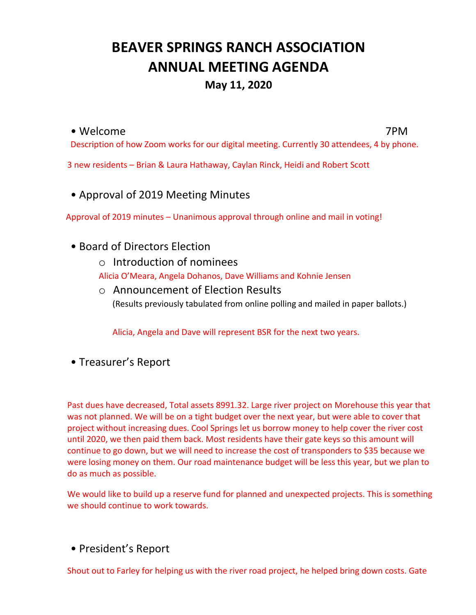# **BEAVER SPRINGS RANCH ASSOCIATION ANNUAL MEETING AGENDA**

# **May 11, 2020**

#### • Welcome 7PM

Description of how Zoom works for our digital meeting. Currently 30 attendees, 4 by phone.

3 new residents – Brian & Laura Hathaway, Caylan Rinck, Heidi and Robert Scott

• Approval of 2019 Meeting Minutes

Approval of 2019 minutes – Unanimous approval through online and mail in voting!

- Board of Directors Election
	- o Introduction of nominees

Alicia O'Meara, Angela Dohanos, Dave Williams and Kohnie Jensen

o Announcement of Election Results (Results previously tabulated from online polling and mailed in paper ballots.)

Alicia, Angela and Dave will represent BSR for the next two years.

• Treasurer's Report

Past dues have decreased, Total assets 8991.32. Large river project on Morehouse this year that was not planned. We will be on a tight budget over the next year, but were able to cover that project without increasing dues. Cool Springs let us borrow money to help cover the river cost until 2020, we then paid them back. Most residents have their gate keys so this amount will continue to go down, but we will need to increase the cost of transponders to \$35 because we were losing money on them. Our road maintenance budget will be less this year, but we plan to do as much as possible.

We would like to build up a reserve fund for planned and unexpected projects. This is something we should continue to work towards.

• President's Report

Shout out to Farley for helping us with the river road project, he helped bring down costs. Gate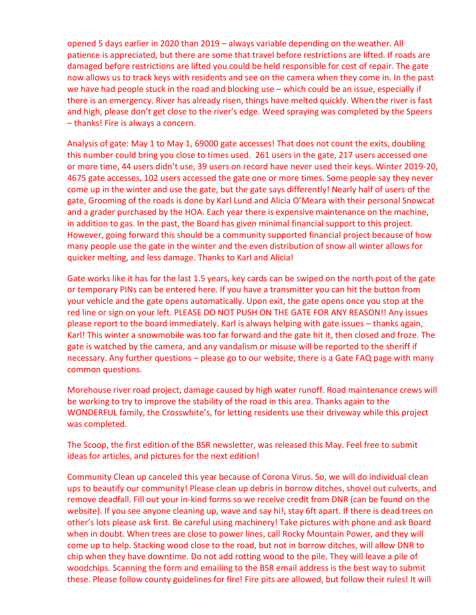opened 5 days earlier in 2020 than 2019 – always variable depending on the weather. All patience is appreciated, but there are some that travel before restrictions are lifted. If roads are damaged before restrictions are lifted you could be held responsible for cost of repair. The gate now allows us to track keys with residents and see on the camera when they come in. In the past we have had people stuck in the road and blocking use – which could be an issue, especially if there is an emergency. River has already risen, things have melted quickly. When the river is fast and high, please don't get close to the river's edge. Weed spraying was completed by the Speers – thanks! Fire is always a concern.

Analysis of gate: May 1 to May 1, 69000 gate accesses! That does not count the exits, doubling this number could bring you close to times used. 261 users in the gate, 217 users accessed one or more time, 44 users didn't use, 39 users on record have never used their keys. Winter 2019-20, 4675 gate accesses, 102 users accessed the gate one or more times. Some people say they never come up in the winter and use the gate, but the gate says differently! Nearly half of users of the gate, Grooming of the roads is done by Karl Lund and Alicia O'Meara with their personal Snowcat and a grader purchased by the HOA. Each year there is expensive maintenance on the machine, in addition to gas. In the past, the Board has given minimal financial support to this project. However, going forward this should be a community supported financial project because of how many people use the gate in the winter and the even distribution of snow all winter allows for quicker melting, and less damage. Thanks to Karl and Alicia!

Gate works like it has for the last 1.5 years, key cards can be swiped on the north post of the gate or temporary PINs can be entered here. If you have a transmitter you can hit the button from your vehicle and the gate opens automatically. Upon exit, the gate opens once you stop at the red line or sign on your left. PLEASE DO NOT PUSH ON THE GATE FOR ANY REASON!! Any issues please report to the board immediately. Karl is always helping with gate issues – thanks again, Karl! This winter a snowmobile was too far forward and the gate hit it, then closed and froze. The gate is watched by the camera, and any vandalism or misuse will be reported to the sheriff if necessary. Any further questions – please go to our website, there is a Gate FAQ page with many common questions.

Morehouse river road project, damage caused by high water runoff. Road maintenance crews will be working to try to improve the stability of the road in this area. Thanks again to the WONDERFUL family, the Crosswhite's, for letting residents use their driveway while this project was completed.

The Scoop, the first edition of the BSR newsletter, was released this May. Feel free to submit ideas for articles, and pictures for the next edition!

Community Clean up canceled this year because of Corona Virus. So, we will do individual clean ups to beautify our community! Please clean up debris in borrow ditches, shovel out culverts, and remove deadfall. Fill out your in-kind forms so we receive credit from DNR (can be found on the website). If you see anyone cleaning up, wave and say hi!, stay 6ft apart. If there is dead trees on other's lots please ask first. Be careful using machinery! Take pictures with phone and ask Board when in doubt. When trees are close to power lines, call Rocky Mountain Power, and they will come up to help. Stacking wood close to the road, but not in borrow ditches, will allow DNR to chip when they have downtime. Do not add rotting wood to the pile. They will leave a pile of woodchips. Scanning the form and emailing to the BSR email address is the best way to submit these. Please follow county guidelines for fire! Fire pits are allowed, but follow their rules! It will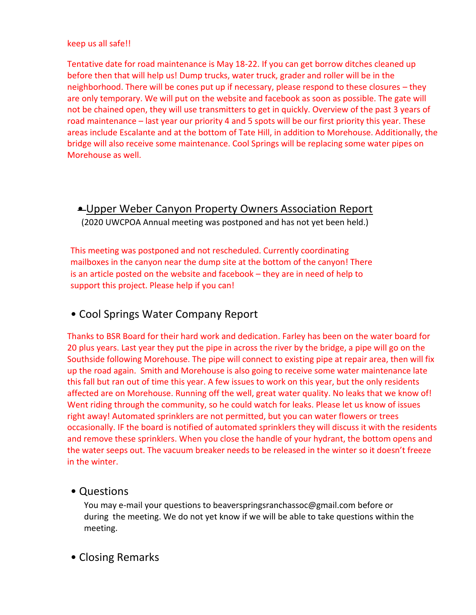#### keep us all safe!!

Tentative date for road maintenance is May 18-22. If you can get borrow ditches cleaned up before then that will help us! Dump trucks, water truck, grader and roller will be in the neighborhood. There will be cones put up if necessary, please respond to these closures – they are only temporary. We will put on the website and facebook as soon as possible. The gate will not be chained open, they will use transmitters to get in quickly. Overview of the past 3 years of road maintenance – last year our priority 4 and 5 spots will be our first priority this year. These areas include Escalante and at the bottom of Tate Hill, in addition to Morehouse. Additionally, the bridge will also receive some maintenance. Cool Springs will be replacing some water pipes on Morehouse as well.

### • Upper Weber Canyon Property Owners Association Report (2020 UWCPOA Annual meeting was postponed and has not yet been held.)

This meeting was postponed and not rescheduled. Currently coordinating mailboxes in the canyon near the dump site at the bottom of the canyon! There is an article posted on the website and facebook – they are in need of help to support this project. Please help if you can!

## • Cool Springs Water Company Report

Thanks to BSR Board for their hard work and dedication. Farley has been on the water board for 20 plus years. Last year they put the pipe in across the river by the bridge, a pipe will go on the Southside following Morehouse. The pipe will connect to existing pipe at repair area, then will fix up the road again. Smith and Morehouse is also going to receive some water maintenance late this fall but ran out of time this year. A few issues to work on this year, but the only residents affected are on Morehouse. Running off the well, great water quality. No leaks that we know of! Went riding through the community, so he could watch for leaks. Please let us know of issues right away! Automated sprinklers are not permitted, but you can water flowers or trees occasionally. IF the board is notified of automated sprinklers they will discuss it with the residents and remove these sprinklers. When you close the handle of your hydrant, the bottom opens and the water seeps out. The vacuum breaker needs to be released in the winter so it doesn't freeze in the winter.

#### • Questions

You may e-mail your questions to beaverspringsranchassoc@gmail.com before or during the meeting. We do not yet know if we will be able to take questions within the meeting.

### • Closing Remarks